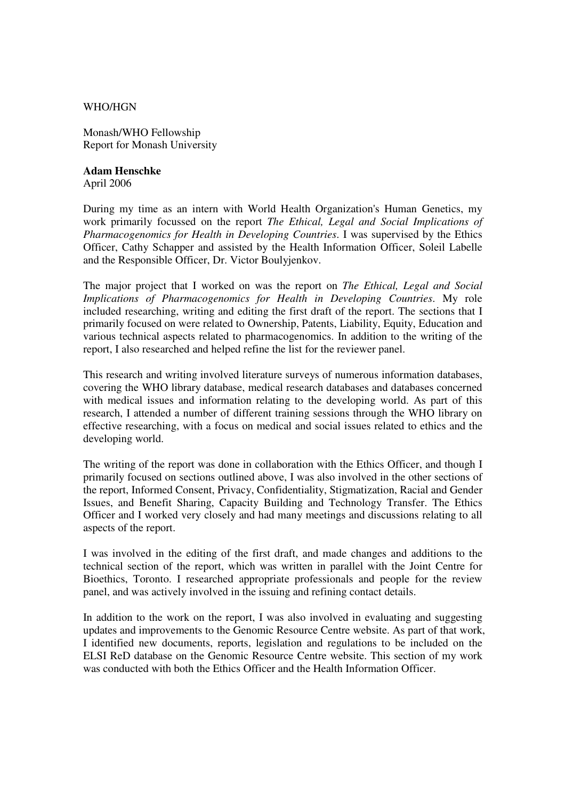## WHO/HGN

Monash/WHO Fellowship Report for Monash University

## **Adam Henschke**

April 2006

During my time as an intern with World Health Organization's Human Genetics, my work primarily focussed on the report *The Ethical, Legal and Social Implications of Pharmacogenomics for Health in Developing Countries*. I was supervised by the Ethics Officer, Cathy Schapper and assisted by the Health Information Officer, Soleil Labelle and the Responsible Officer, Dr. Victor Boulyjenkov.

The major project that I worked on was the report on *The Ethical, Legal and Social Implications of Pharmacogenomics for Health in Developing Countries*. My role included researching, writing and editing the first draft of the report. The sections that I primarily focused on were related to Ownership, Patents, Liability, Equity, Education and various technical aspects related to pharmacogenomics. In addition to the writing of the report, I also researched and helped refine the list for the reviewer panel.

This research and writing involved literature surveys of numerous information databases, covering the WHO library database, medical research databases and databases concerned with medical issues and information relating to the developing world. As part of this research, I attended a number of different training sessions through the WHO library on effective researching, with a focus on medical and social issues related to ethics and the developing world.

The writing of the report was done in collaboration with the Ethics Officer, and though I primarily focused on sections outlined above, I was also involved in the other sections of the report, Informed Consent, Privacy, Confidentiality, Stigmatization, Racial and Gender Issues, and Benefit Sharing, Capacity Building and Technology Transfer. The Ethics Officer and I worked very closely and had many meetings and discussions relating to all aspects of the report.

I was involved in the editing of the first draft, and made changes and additions to the technical section of the report, which was written in parallel with the Joint Centre for Bioethics, Toronto. I researched appropriate professionals and people for the review panel, and was actively involved in the issuing and refining contact details.

In addition to the work on the report, I was also involved in evaluating and suggesting updates and improvements to the Genomic Resource Centre website. As part of that work, I identified new documents, reports, legislation and regulations to be included on the ELSI ReD database on the Genomic Resource Centre website. This section of my work was conducted with both the Ethics Officer and the Health Information Officer.